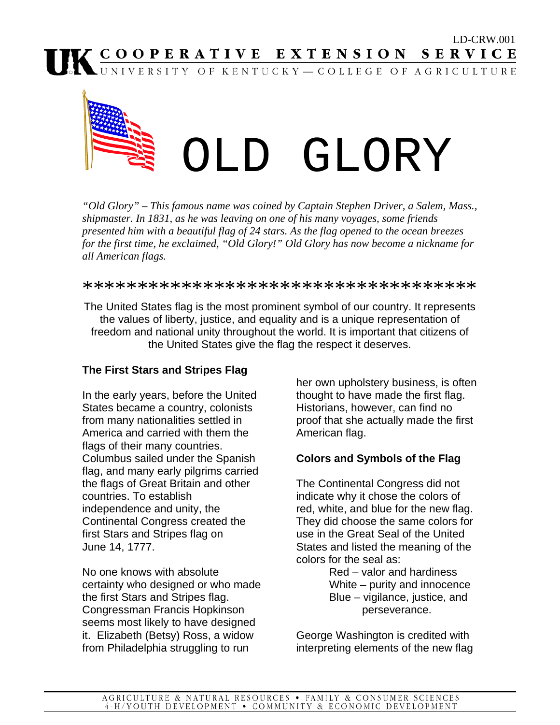

*"Old Glory" – This famous name was coined by Captain Stephen Driver, a Salem, Mass., shipmaster. In 1831, as he was leaving on one of his many voyages, some friends presented him with a beautiful flag of 24 stars. As the flag opened to the ocean breezes for the first time, he exclaimed, "Old Glory!" Old Glory has now become a nickname for all American flags.* 

\*\*\*\*\*\*\*\*\*\*\*\*\*\*\*\*\*\*\*\*\*\*\*\*\*\*\*\*\*\*\*\*\*\*\*\*\*

The United States flag is the most prominent symbol of our country. It represents the values of liberty, justice, and equality and is a unique representation of freedom and national unity throughout the world. It is important that citizens of the United States give the flag the respect it deserves.

### **The First Stars and Stripes Flag**

In the early years, before the United States became a country, colonists from many nationalities settled in America and carried with them the flags of their many countries. Columbus sailed under the Spanish flag, and many early pilgrims carried the flags of Great Britain and other countries. To establish independence and unity, the Continental Congress created the first Stars and Stripes flag on June 14, 1777.

No one knows with absolute certainty who designed or who made the first Stars and Stripes flag. Congressman Francis Hopkinson seems most likely to have designed it. Elizabeth (Betsy) Ross, a widow from Philadelphia struggling to run

her own upholstery business, is often thought to have made the first flag. Historians, however, can find no proof that she actually made the first American flag.

### **Colors and Symbols of the Flag**

The Continental Congress did not indicate why it chose the colors of red, white, and blue for the new flag. They did choose the same colors for use in the Great Seal of the United States and listed the meaning of the colors for the seal as:

 Red – valor and hardiness White – purity and innocence Blue – vigilance, justice, and perseverance.

George Washington is credited with interpreting elements of the new flag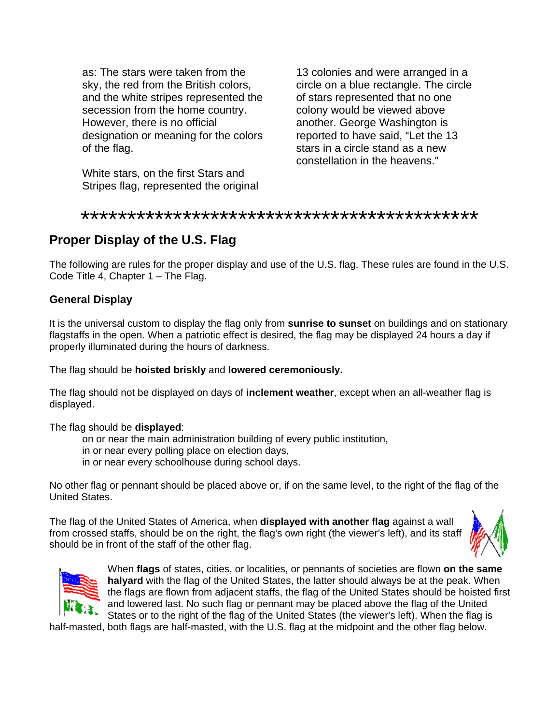as: The stars were taken from the sky, the red from the British colors, and the white stripes represented the secession from the home country. However, there is no official designation or meaning for the colors of the flag.

White stars, on the first Stars and Stripes flag, represented the original 13 colonies and were arranged in a circle on a blue rectangle. The circle of stars represented that no one colony would be viewed above another. George Washington is reported to have said, "Let the 13 stars in a circle stand as a new constellation in the heavens."

#### \*\*\*\*\*\*\*\*\*\*\*\*\*\*\*\*\*\*\*\*\*\*\*\*\*\*\*\*\*\*\*\*\*\*\*\*\*\*\*\*\*\*\*

# **Proper Display of the U.S. Flag**

The following are rules for the proper display and use of the U.S. flag. These rules are found in the U.S. Code Title 4, Chapter 1 – The Flag.

#### **General Display**

It is the universal custom to display the flag only from **sunrise to sunset** on buildings and on stationary flagstaffs in the open. When a patriotic effect is desired, the flag may be displayed 24 hours a day if properly illuminated during the hours of darkness.

#### The flag should be **hoisted briskly** and **lowered ceremoniously.**

The flag should not be displayed on days of **inclement weather**, except when an all-weather flag is displayed.

#### The flag should be **displayed**:

on or near the main administration building of every public institution,

- in or near every polling place on election days,
- in or near every schoolhouse during school days.

No other flag or pennant should be placed above or, if on the same level, to the right of the flag of the United States.

The flag of the United States of America, when **displayed with another flag** against a wall from crossed staffs, should be on the right, the flag's own right (the viewer's left), and its staff should be in front of the staff of the other flag.





When **flags** of states, cities, or localities, or pennants of societies are flown **on the same halyard** with the flag of the United States, the latter should always be at the peak. When the flags are flown from adjacent staffs, the flag of the United States should be hoisted first and lowered last. No such flag or pennant may be placed above the flag of the United States or to the right of the flag of the United States (the viewer's left). When the flag is

half-masted, both flags are half-masted, with the U.S. flag at the midpoint and the other flag below.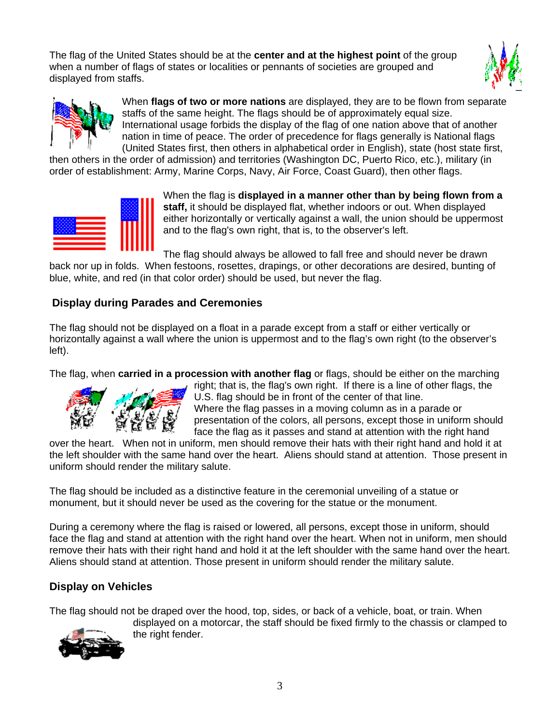The flag of the United States should be at the **center and at the highest point** of the group when a number of flags of states or localities or pennants of societies are grouped and displayed from staffs.





When **flags of two or more nations** are displayed, they are to be flown from separate staffs of the same height. The flags should be of approximately equal size. International usage forbids the display of the flag of one nation above that of another nation in time of peace. The order of precedence for flags generally is National flags (United States first, then others in alphabetical order in English), state (host state first,

then others in the order of admission) and territories (Washington DC, Puerto Rico, etc.), military (in order of establishment: Army, Marine Corps, Navy, Air Force, Coast Guard), then other flags.



When the flag is **displayed in a manner other than by being flown from a staff,** it should be displayed flat, whether indoors or out. When displayed either horizontally or vertically against a wall, the union should be uppermost and to the flag's own right, that is, to the observer's left.

The flag should always be allowed to fall free and should never be drawn back nor up in folds. When festoons, rosettes, drapings, or other decorations are desired, bunting of blue, white, and red (in that color order) should be used, but never the flag.

### **Display during Parades and Ceremonies**

The flag should not be displayed on a float in a parade except from a staff or either vertically or horizontally against a wall where the union is uppermost and to the flag's own right (to the observer's left).

The flag, when **carried in a procession with another flag** or flags, should be either on the marching



right; that is, the flag's own right. If there is a line of other flags, the U.S. flag should be in front of the center of that line. Where the flag passes in a moving column as in a parade or presentation of the colors, all persons, except those in uniform should face the flag as it passes and stand at attention with the right hand

over the heart. When not in uniform, men should remove their hats with their right hand and hold it at the left shoulder with the same hand over the heart. Aliens should stand at attention. Those present in uniform should render the military salute.

The flag should be included as a distinctive feature in the ceremonial unveiling of a statue or monument, but it should never be used as the covering for the statue or the monument.

During a ceremony where the flag is raised or lowered, all persons, except those in uniform, should face the flag and stand at attention with the right hand over the heart. When not in uniform, men should remove their hats with their right hand and hold it at the left shoulder with the same hand over the heart. Aliens should stand at attention. Those present in uniform should render the military salute.

# **Display on Vehicles**

The flag should not be draped over the hood, top, sides, or back of a vehicle, boat, or train. When displayed on a motorcar, the staff should be fixed firmly to the chassis or clamped to

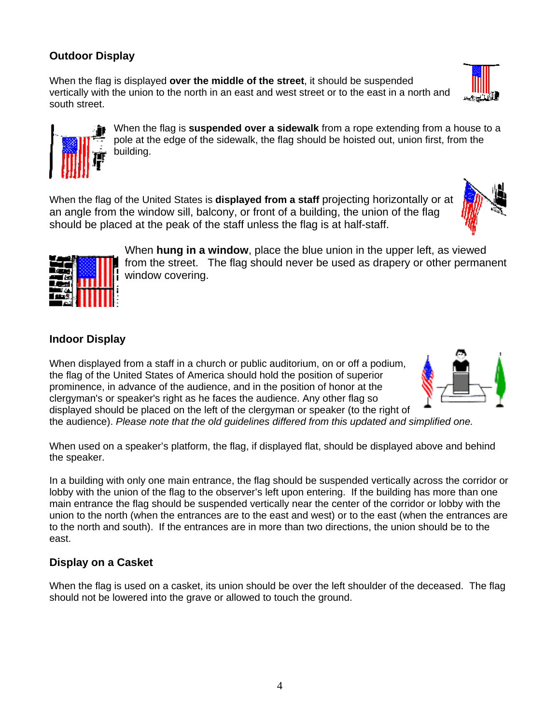# **Outdoor Display**

When the flag is displayed **over the middle of the street**, it should be suspended vertically with the union to the north in an east and west street or to the east in a north and south street.

> When the flag is **suspended over a sidewalk** from a rope extending from a house to a pole at the edge of the sidewalk, the flag should be hoisted out, union first, from the building.

When the flag of the United States is **displayed from a staff** projecting horizontally or at an angle from the window sill, balcony, or front of a building, the union of the flag should be placed at the peak of the staff unless the flag is at half-staff.

> When **hung in a window**, place the blue union in the upper left, as viewed from the street. The flag should never be used as drapery or other permanent window covering.

### **Indoor Display**

the speaker.

When displayed from a staff in a church or public auditorium, on or off a podium, the flag of the United States of America should hold the position of superior prominence, in advance of the audience, and in the position of honor at the clergyman's or speaker's right as he faces the audience. Any other flag so displayed should be placed on the left of the clergyman or speaker (to the right of the audience). *Please note that the old guidelines differed from this updated and simplified one.* 

When used on a speaker's platform, the flag, if displayed flat, should be displayed above and behind

In a building with only one main entrance, the flag should be suspended vertically across the corridor or lobby with the union of the flag to the observer's left upon entering. If the building has more than one main entrance the flag should be suspended vertically near the center of the corridor or lobby with the union to the north (when the entrances are to the east and west) or to the east (when the entrances are to the north and south). If the entrances are in more than two directions, the union should be to the east.

# **Display on a Casket**

When the flag is used on a casket, its union should be over the left shoulder of the deceased. The flag should not be lowered into the grave or allowed to touch the ground.







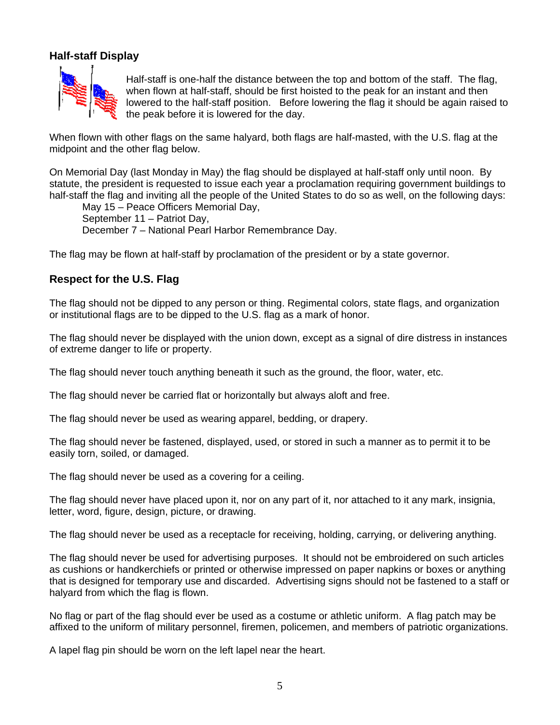### **Half-staff Display**



Half-staff is one-half the distance between the top and bottom of the staff. The flag, when flown at half-staff, should be first hoisted to the peak for an instant and then lowered to the half-staff position. Before lowering the flag it should be again raised to the peak before it is lowered for the day.

When flown with other flags on the same halyard, both flags are half-masted, with the U.S. flag at the midpoint and the other flag below.

On Memorial Day (last Monday in May) the flag should be displayed at half-staff only until noon. By statute, the president is requested to issue each year a proclamation requiring government buildings to half-staff the flag and inviting all the people of the United States to do so as well, on the following days:

 May 15 – Peace Officers Memorial Day, September 11 – Patriot Day, December 7 – National Pearl Harbor Remembrance Day.

The flag may be flown at half-staff by proclamation of the president or by a state governor.

### **Respect for the U.S. Flag**

The flag should not be dipped to any person or thing. Regimental colors, state flags, and organization or institutional flags are to be dipped to the U.S. flag as a mark of honor.

The flag should never be displayed with the union down, except as a signal of dire distress in instances of extreme danger to life or property.

The flag should never touch anything beneath it such as the ground, the floor, water, etc.

The flag should never be carried flat or horizontally but always aloft and free.

The flag should never be used as wearing apparel, bedding, or drapery.

The flag should never be fastened, displayed, used, or stored in such a manner as to permit it to be easily torn, soiled, or damaged.

The flag should never be used as a covering for a ceiling.

The flag should never have placed upon it, nor on any part of it, nor attached to it any mark, insignia, letter, word, figure, design, picture, or drawing.

The flag should never be used as a receptacle for receiving, holding, carrying, or delivering anything.

The flag should never be used for advertising purposes. It should not be embroidered on such articles as cushions or handkerchiefs or printed or otherwise impressed on paper napkins or boxes or anything that is designed for temporary use and discarded. Advertising signs should not be fastened to a staff or halyard from which the flag is flown.

No flag or part of the flag should ever be used as a costume or athletic uniform. A flag patch may be affixed to the uniform of military personnel, firemen, policemen, and members of patriotic organizations.

A lapel flag pin should be worn on the left lapel near the heart.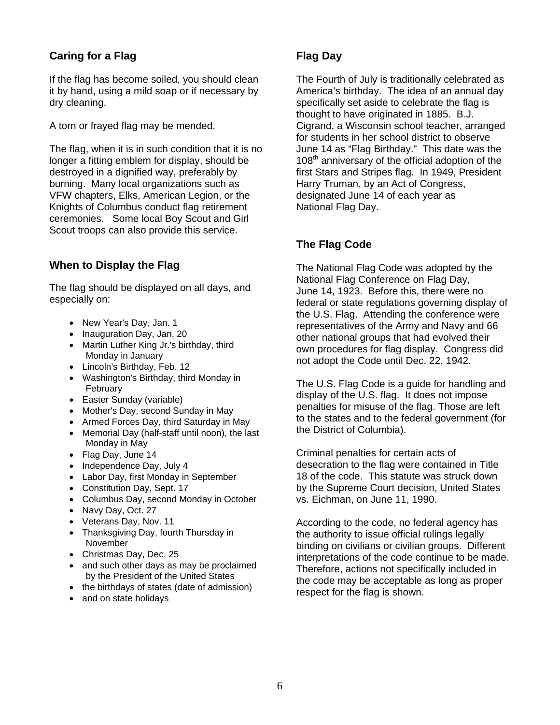# **Caring for a Flag**

If the flag has become soiled, you should clean it by hand, using a mild soap or if necessary by dry cleaning.

A torn or frayed flag may be mended.

The flag, when it is in such condition that it is no longer a fitting emblem for display, should be destroyed in a dignified way, preferably by burning. Many local organizations such as VFW chapters, Elks, American Legion, or the Knights of Columbus conduct flag retirement ceremonies. Some local Boy Scout and Girl Scout troops can also provide this service.

#### **When to Display the Flag**

The flag should be displayed on all days, and especially on:

- New Year's Day, Jan. 1
- Inauguration Day, Jan. 20
- Martin Luther King Jr.'s birthday, third Monday in January
- Lincoln's Birthday, Feb. 12
- Washington's Birthday, third Monday in February
- Easter Sunday (variable)
- Mother's Day, second Sunday in May
- Armed Forces Day, third Saturday in May
- Memorial Day (half-staff until noon), the last Monday in May
- Flag Day, June 14
- Independence Day, July 4
- Labor Day, first Monday in September
- Constitution Day, Sept. 17
- Columbus Day, second Monday in October
- Navy Day, Oct. 27
- Veterans Day, Nov. 11
- Thanksgiving Day, fourth Thursday in November
- Christmas Day, Dec. 25
- and such other days as may be proclaimed by the President of the United States
- the birthdays of states (date of admission)
- and on state holidays

### **Flag Day**

The Fourth of July is traditionally celebrated as America's birthday. The idea of an annual day specifically set aside to celebrate the flag is thought to have originated in 1885. B.J. Cigrand, a Wisconsin school teacher, arranged for students in her school district to observe June 14 as "Flag Birthday." This date was the 108<sup>th</sup> anniversary of the official adoption of the first Stars and Stripes flag. In 1949, President Harry Truman, by an Act of Congress, designated June 14 of each year as National Flag Day.

### **The Flag Code**

The National Flag Code was adopted by the National Flag Conference on Flag Day, June 14, 1923. Before this, there were no federal or state regulations governing display of the U.S. Flag. Attending the conference were representatives of the Army and Navy and 66 other national groups that had evolved their own procedures for flag display. Congress did not adopt the Code until Dec. 22, 1942.

The U.S. Flag Code is a guide for handling and display of the U.S. flag. It does not impose penalties for misuse of the flag. Those are left to the states and to the federal government (for the District of Columbia).

Criminal penalties for certain acts of desecration to the flag were contained in Title 18 of the code. This statute was struck down by the Supreme Court decision, United States vs. Eichman, on June 11, 1990.

According to the code, no federal agency has the authority to issue official rulings legally binding on civilians or civilian groups. Different interpretations of the code continue to be made. Therefore, actions not specifically included in the code may be acceptable as long as proper respect for the flag is shown.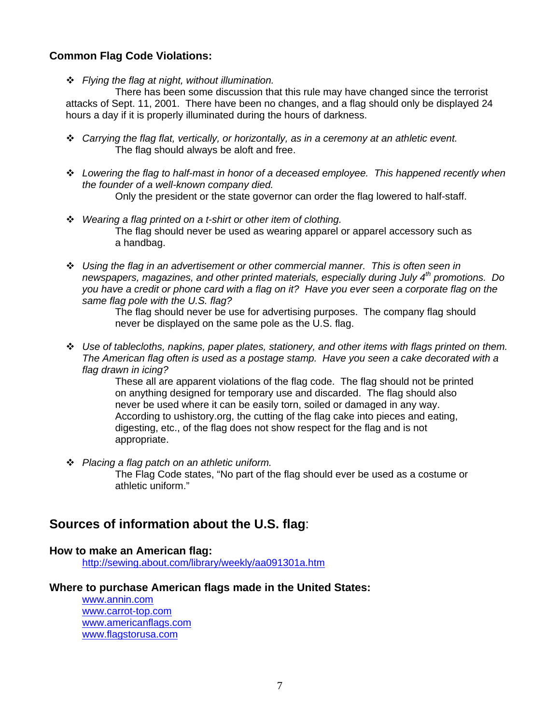#### **Common Flag Code Violations:**

*Flying the flag at night, without illumination.* 

 There has been some discussion that this rule may have changed since the terrorist attacks of Sept. 11, 2001. There have been no changes, and a flag should only be displayed 24 hours a day if it is properly illuminated during the hours of darkness.

- *Carrying the flag flat, vertically, or horizontally, as in a ceremony at an athletic event.*  The flag should always be aloft and free.
- *Lowering the flag to half-mast in honor of a deceased employee. This happened recently when the founder of a well-known company died.*  Only the president or the state governor can order the flag lowered to half-staff.
- *Wearing a flag printed on a t-shirt or other item of clothing.*  The flag should never be used as wearing apparel or apparel accessory such as a handbag.
- *Using the flag in an advertisement or other commercial manner. This is often seen in newspapers, magazines, and other printed materials, especially during July 4th promotions. Do you have a credit or phone card with a flag on it? Have you ever seen a corporate flag on the same flag pole with the U.S. flag?*

 The flag should never be use for advertising purposes. The company flag should never be displayed on the same pole as the U.S. flag.

 *Use of tablecloths, napkins, paper plates, stationery, and other items with flags printed on them. The American flag often is used as a postage stamp. Have you seen a cake decorated with a flag drawn in icing?* 

> These all are apparent violations of the flag code. The flag should not be printed on anything designed for temporary use and discarded. The flag should also never be used where it can be easily torn, soiled or damaged in any way. According to ushistory.org, the cutting of the flag cake into pieces and eating, digesting, etc., of the flag does not show respect for the flag and is not appropriate.

*Placing a flag patch on an athletic uniform.* 

 The Flag Code states, "No part of the flag should ever be used as a costume or athletic uniform."

# **Sources of information about the U.S. flag**:

#### **How to make an American flag:**

http://sewing.about.com/library/weekly/aa091301a.htm

#### **Where to purchase American flags made in the United States:**

www.annin.com www.carrot-top.com www.americanflags.com www.flagstorusa.com